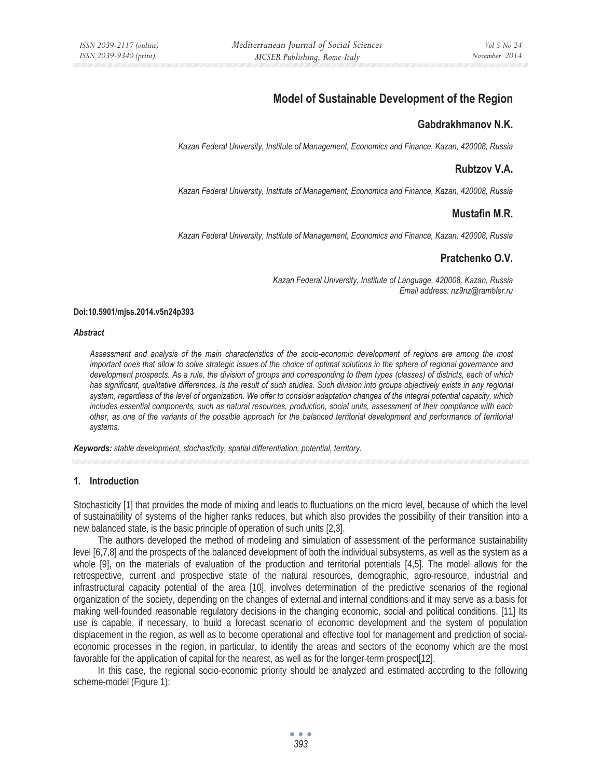# **Model of Sustainable Development of the Region**

### **Gabdrakhmanov N.K.**

*Kazan Federal University, Institute of Management, Economics and Finance, Kazan, 420008, Russia* 

## **Rubtzov V.A.**

*Kazan Federal University, Institute of Management, Economics and Finance, Kazan, 420008, Russia* 

### **Mustafin M.R.**

*Kazan Federal University, Institute of Management, Economics and Finance, Kazan, 420008, Russia* 

## **Pratchenko O.V.**

*Kazan Federal University, Institute of Language, 420008, Kazan, Russia Email address: nz9nz@rambler.ru* 

#### **Doi:10.5901/mjss.2014.v5n24p393**

#### *Abstract*

*Assessment and analysis of the main characteristics of the socio-economic development of regions are among the most important ones that allow to solve strategic issues of the choice of optimal solutions in the sphere of regional governance and development prospects. As a rule, the division of groups and corresponding to them types (classes) of districts, each of which*  has significant, qualitative differences, is the result of such studies. Such division into groups objectively exists in any regional *system, regardless of the level of organization. We offer to consider adaptation changes of the integral potential capacity, which includes essential components, such as natural resources, production, social units, assessment of their compliance with each other, as one of the variants of the possible approach for the balanced territorial development and performance of territorial systems.* 

*Keywords: stable development, stochasticity, spatial differentiation, potential, territory.*

### **1. Introduction**

Stochasticity [1] that provides the mode of mixing and leads to fluctuations on the micro level, because of which the level of sustainability of systems of the higher ranks reduces, but which also provides the possibility of their transition into a new balanced state, is the basic principle of operation of such units [2,3].

The authors developed the method of modeling and simulation of assessment of the performance sustainability level [6,7,8] and the prospects of the balanced development of both the individual subsystems, as well as the system as a whole [9], on the materials of evaluation of the production and territorial potentials [4,5]. The model allows for the retrospective, current and prospective state of the natural resources, demographic, agro-resource, industrial and infrastructural capacity potential of the area [10], involves determination of the predictive scenarios of the regional organization of the society, depending on the changes of external and internal conditions and it may serve as a basis for making well-founded reasonable regulatory decisions in the changing economic, social and political conditions. [11] Its use is capable, if necessary, to build a forecast scenario of economic development and the system of population displacement in the region, as well as to become operational and effective tool for management and prediction of socialeconomic processes in the region, in particular, to identify the areas and sectors of the economy which are the most favorable for the application of capital for the nearest, as well as for the longer-term prospect[12].

In this case, the regional socio-economic priority should be analyzed and estimated according to the following scheme-model (Figure 1):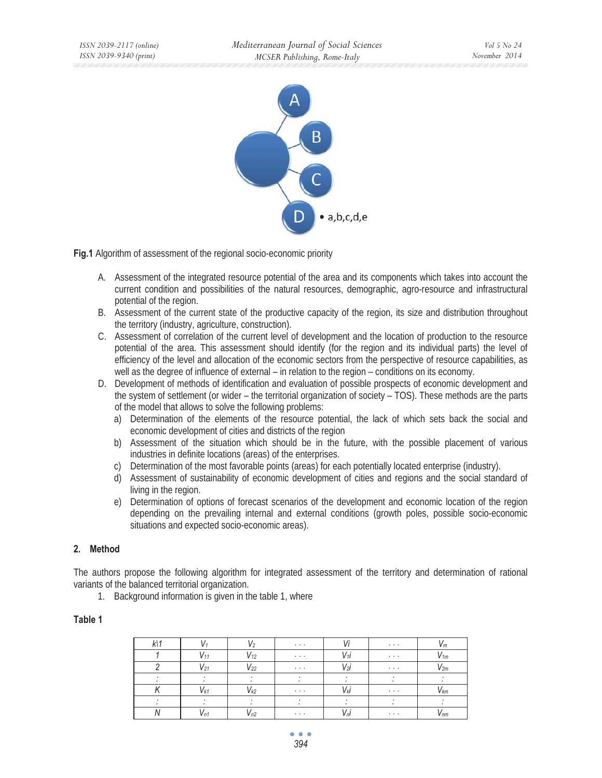

**Fig.1** Algorithm of assessment of the regional socio-economic priority

- A. Assessment of the integrated resource potential of the area and its components which takes into account the current condition and possibilities of the natural resources, demographic, agro-resource and infrastructural potential of the region.
- B. Assessment of the current state of the productive capacity of the region, its size and distribution throughout the territory (industry, agriculture, construction).
- C. Assessment of correlation of the current level of development and the location of production to the resource potential of the area. This assessment should identify (for the region and its individual parts) the level of efficiency of the level and allocation of the economic sectors from the perspective of resource capabilities, as well as the degree of influence of external – in relation to the region – conditions on its economy.
- D. Development of methods of identification and evaluation of possible prospects of economic development and the system of settlement (or wider – the territorial organization of society – TOS). These methods are the parts of the model that allows to solve the following problems:
	- a) Determination of the elements of the resource potential, the lack of which sets back the social and economic development of cities and districts of the region
	- b) Assessment of the situation which should be in the future, with the possible placement of various industries in definite locations (areas) of the enterprises.
	- c) Determination of the most favorable points (areas) for each potentially located enterprise (industry).
	- d) Assessment of sustainability of economic development of cities and regions and the social standard of living in the region.
	- e) Determination of options of forecast scenarios of the development and economic location of the region depending on the prevailing internal and external conditions (growth poles, possible socio-economic situations and expected socio-economic areas).

### **2. Method**

The authors propose the following algorithm for integrated assessment of the territory and determination of rational variants of the balanced territorial organization.

1. Background information is given in the table 1, where

#### **Table 1**

| $k\$ 1 |          |          | $\cdots$                | $\mathbf{r}$                  | $\cdot$ $\cdot$ $\cdot$ | $V_m$    |
|--------|----------|----------|-------------------------|-------------------------------|-------------------------|----------|
|        | $V_{11}$ | $V_{12}$ | $\cdots$                | Vıi                           | $\cdot$ $\cdot$ $\cdot$ | $V_{1m}$ |
|        | $V_{21}$ | $V_{22}$ | $\cdot$ $\cdot$ $\cdot$ | V2İ                           | $\cdot$ $\cdot$ $\cdot$ | $V_{2m}$ |
|        |          |          |                         |                               |                         |          |
|        | $V_{k1}$ | $V_{k2}$ | $\ldots$                | Vĸİ                           | $\cdot$ $\cdot$ $\cdot$ | $V_{km}$ |
|        |          |          |                         |                               |                         |          |
|        | $V_{n1}$ | $V_{n2}$ | $\cdot$ $\cdot$ $\cdot$ | 11:<br><b>V</b> <sub>nl</sub> | $\cdot$ $\cdot$ $\cdot$ | $V_{nm}$ |

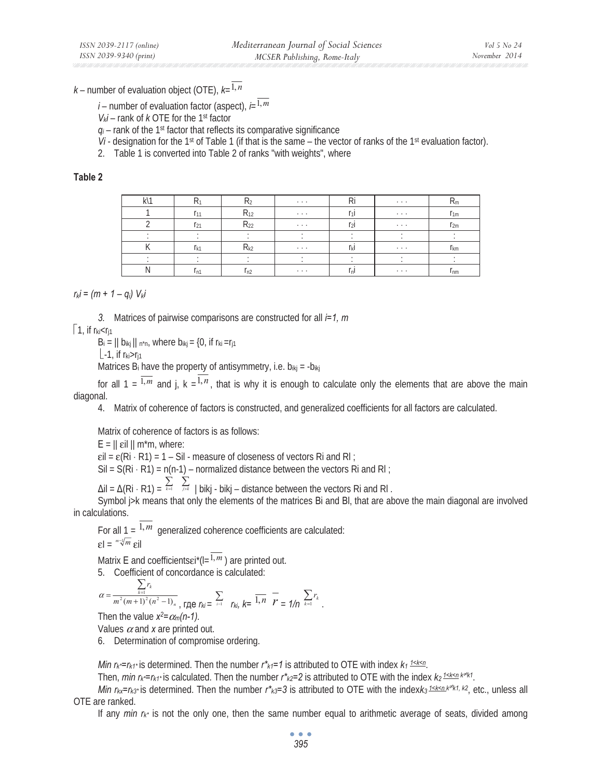## $k$  – number of evaluation object (OTE),  $k = 1, n$

*i* – number of evaluation factor (aspect), *i*= 1,*m*

*Vki* – rank of *k* OTE for the 1st factor

 $q_i$  – rank of the 1<sup>st</sup> factor that reflects its comparative significance

*Vi* - designation for the 1<sup>st</sup> of Table 1 (if that is the same – the vector of ranks of the 1<sup>st</sup> evaluation factor).

2. Table 1 is converted into Table 2 of ranks "with weights", where

#### **Table 2**

| 1.14<br>IN 1-1 |                 |          | $\cdots$ | : רו<br>N        | $\cdots$ | Km              |
|----------------|-----------------|----------|----------|------------------|----------|-----------------|
|                | $r_{11}$        | $R_{12}$ | $\cdots$ | 11               | $\cdots$ | $r_{1m}$        |
|                | $r_{21}$        | $R_{22}$ | $\cdots$ | r2l              | $\cdots$ | $r_{2m}$        |
|                |                 |          |          |                  |          |                 |
|                | r <sub>k1</sub> | Kk2      | $\cdots$ | ΓĸΙ              | $\cdots$ | r <sub>km</sub> |
|                |                 |          |          |                  |          |                 |
|                | In1             | l n2     | $\cdots$ | 1 <sub>n</sub> i | $\cdots$ | l nm            |

*rki = (m + 1 – qi) Vki* 

*3.* Matrices of pairwise comparisons are constructed for all *i=1, m* 

 $\lceil 1$ , if  $r_{ki} < r_{j1}$ 

 $B_i = || b_{ikj} ||_{n*n}$ , where  $b_{ikj} = \{0, if r_{ki} = r_{i1}\}$ 

 $\lfloor -1 \rfloor$ , if  $r_{ki} > r_{i1}$ 

Matrices  $B_i$  have the property of antisymmetry, i.e.  $b_{ikj} = -b_{ikj}$ 

for all 1 =  $\overline{1,m}$  and j, k =  $^{1,n}$ , that is why it is enough to calculate only the elements that are above the main diagonal.

4. Matrix of coherence of factors is constructed, and generalized coefficients for all factors are calculated.

Matrix of coherence of factors is as follows:

 $E = ||$   $\epsilon$ il  $||$  m<sup>\*</sup>m, where:

 $\epsilon$ il =  $\epsilon$ (Ri · R1) = 1 – Sil · measure of closeness of vectors Ri and RI ;

Sil =  $S(Ri \cdot R1)$  =  $n(n-1)$  – normalized distance between the vectors Ri and RI ;

 $\Delta$ il =  $\Delta$ (Ri ⋅ R1) =  $\sum_{k=1}^{\infty}$   $\sum_{j>k}$  | bikj - bikj – distance between the vectors Ri and RI .

Symbol j>k means that only the elements of the matrices Bi and BI, that are above the main diagonal are involved in calculations.

For all  $1 = {}^{1,m}$  generalized coherence coefficients are calculated:  $\epsilon$ <sup>l</sup> =  $\sqrt[m-1]{m}$   $\epsilon$ il

Matrix E and coefficients $\epsilon$ i<sup>\*</sup>( $I = \frac{1}{m}$ ) are printed out.

5. Coefficient of concordance is calculated:

$$
\alpha = \frac{\sum_{k=1}^r r_k}{m^2(m+1)^2(n^2-1)_n}, \text{ r,qe } r_{ki} = \sum_{i=1}^r r_{ki}, k = \frac{\overline{1,n}}{n}, \frac{\overline{r}}{r} = \frac{1}{n} \sum_{k=1}^r r_k.
$$

Then the value  $x^2 = \alpha_m(n-1)$ .

Values  $\alpha$  and x are printed out.

6. Determination of compromise ordering.

*Min r<sub>k</sub>*=*r<sub>k1</sub>* is determined. Then the number  $r^*_{k1}=1$  is attributed to OTE with index  $k_1$  1 sksn.

Then, *min r<sub>k\*</sub>=r<sub>k1</sub>\** is calculated. Then the number  $r^*_{k2}=2$  is attributed to OTE with the index  $k_2 \frac{1 \le k \le n}{k^2 k^2}$ .

*Min r<sub>kx</sub>=r<sub>k3</sub>* is determined. Then the number *r*<sup>\*</sup><sub>k3</sub>=3 is attributed to OTE with the index*k<sub>3</sub>* 1 sk ≠*k*, k<sup>2</sup>, etc., unless all OTE are ranked.

If any *min r<sub>k\*</sub>* is not the only one, then the same number equal to arithmetic average of seats, divided among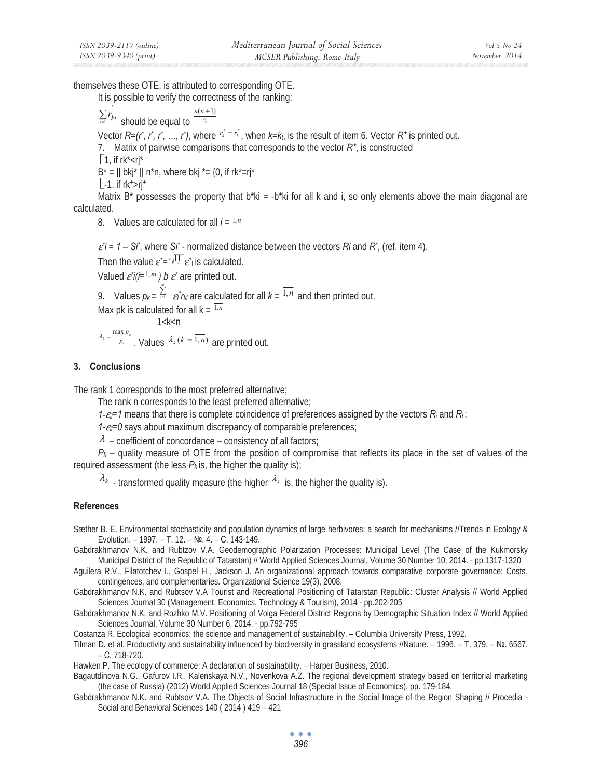themselves these OTE, is attributed to corresponding OTE.

It is possible to verify the correctness of the ranking:

$$
\sum_{t=1}^{n} r_{kt}^{*}
$$
 should be equal to  $\frac{n(n+1)}{2}$ 

Vector  $R = (r^*, r^*, r^*, ..., r^*)$ , where  $r^* = r^*$ , when  $k = k_t$ , is the result of item 6. Vector  $R^*$  is printed out. 7. Matrix of pairwise comparisons that corresponds to the vector *R\**, is constructed

 $\lceil 1$ , if rk<sup>\*</sup><ri<sup>\*</sup>

 $B^* = || bki^* || n^*n$ , where bki  $^* = \{0, \text{ if } rk^* = ri^*\}$ 

$$
\left[-1, \text{ if } \mathsf{rk}^* > \mathsf{r} \right]^*
$$

Matrix B<sup>\*</sup> possesses the property that b<sup>\*</sup>ki =  $-b^*k$  for all k and i, so only elements above the main diagonal are calculated.

8. Values are calculated for all  $i = 1, n$ 

 $\vec{\varepsilon}$ *i* = 1 – Si<sup>\*</sup>, where Si<sup>\*</sup> - normalized distance between the vectors Ri and R<sup>\*</sup>, (ref. item 4).

Then the value  $\boldsymbol{\epsilon}^* = \sqrt[m]{\prod_i} \boldsymbol{\epsilon}^*$  is calculated.

Valued  $\mathcal{E}^{\dagger}$ *(i*= $^{1,m}$ ) *b*  $\mathcal{E}^{\dagger}$  are printed out.

9. Values  $p_k = \sum_{i=1}^{\infty} e_i^* r_{ki}$  are calculated for all  $k = \overline{1,n}$  and then printed out.

Max pk is calculated for all  $k = 1, n$ 

 $1$  < k  $<$  n *k* . Values  $\lambda_k$  ( $k = 1, n$ ) are printed out.  $\lambda_k = \frac{\max p_k}{p_k}$  Values  $\lambda_k (k = 1, n)$ 

### **3. Conclusions**

The rank 1 corresponds to the most preferred alternative;

The rank n corresponds to the least preferred alternative;

*1-*ε*il=1* means that there is complete coincidence of preferences assigned by the vectors *Ri* and *Rl* ;

1- $ε$ <sup> $=$ </sup> says about maximum discrepancy of comparable preferences;

 $\lambda$  – coefficient of concordance – consistency of all factors;

 $P_k$  – quality measure of OTE from the position of compromise that reflects its place in the set of values of the required assessment (the less  $P_k$  is, the higher the quality is);

 $\lambda_k$  - transformed quality measure (the higher  $\lambda_k$  is, the higher the quality is).

### **References**

- Sæther B. E. Environmental stochasticity and population dynamics of large herbivores: a search for mechanisms //Trends in Ecology & Evolution. – 1997. – T. 12. – №. 4. – С. 143-149.
- Gabdrakhmanov N.K. and Rubtzov V.A. Geodemographic Polarization Processes: Municipal Level (The Case of the Kukmorsky Municipal District of the Republic of Tatarstan) // World Applied Sciences Journal, Volume 30 Number 10, 2014. - pp.1317-1320
- Aguilera R.V., Filatotchev I., Gospel H., Jackson J. An organizational approach towards comparative corporate governance: Costs, contingences, and complementaries. Organizational Science 19(3), 2008.

Gabdrakhmanov N.K. and Rubtsov V.A Tourist and Recreational Positioning of Tatarstan Republic: Cluster Analysis // World Applied Sciences Journal 30 (Management, Economics, Technology & Tourism), 2014 - pp.202-205

Gabdrakhmanov N.K. and Rozhko M.V. Positioning of Volga Federal District Regions by Demographic Situation Index // World Applied Sciences Journal, Volume 30 Number 6, 2014. - pp.792-795

Costanza R. Ecological economics: the science and management of sustainability. – Columbia University Press, 1992.

Tilman D. et al. Productivity and sustainability influenced by biodiversity in grassland ecosystems //Nature. – 1996. – T. 379. – №. 6567.  $- C.718-720.$ 

Hawken P. The ecology of commerce: A declaration of sustainability. – Harper Business, 2010.

- Bagautdinova N.G., Gafurov I.R., Kalenskaya N.V., Novenkova A.Z. The regional development strategy based on territorial marketing (the case of Russia) (2012) World Applied Sciences Journal 18 (Special Issue of Economics), pp. 179-184.
- Gabdrakhmanov N.K. and Rubtsov V.A. The Objects of Social Infrastructure in the Social Image of the Region Shaping // Procedia Social and Behavioral Sciences 140 ( 2014 ) 419 – 421